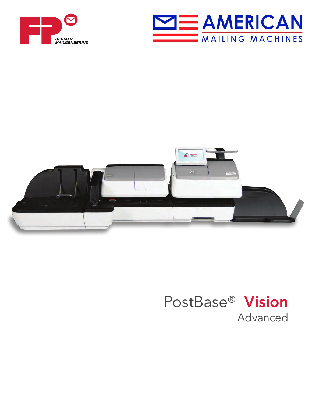





# Advanced PostBase® **Vision**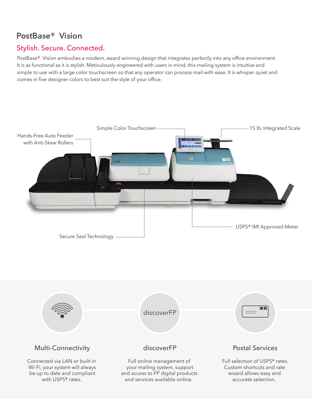## **PostBase® Vision**

### Stylish. Secure. Connected.

PostBase® Vision embodies a modern, award winning design that integrates perfectly into any office environment. It is as functional as it is stylish. Meticulously engineered with users in mind, this mailing system is intuitive and simple to use with a large color touchscreen so that any operator can process mail with ease. It is whisper quiet and comes in five designer colors to best suit the style of your office.



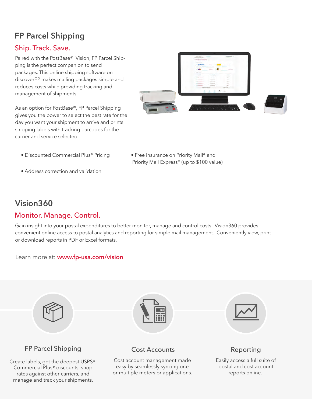## **FP Parcel Shipping**

#### Ship. Track. Save.

Paired with the PostBase® Vision, FP Parcel Shipping is the perfect companion to send packages. This online shipping software on discoverFP makes mailing packages simple and reduces costs while providing tracking and management of shipments.

As an option for PostBase®, FP Parcel Shipping gives you the power to select the best rate for the day you want your shipment to arrive and prints shipping labels with tracking barcodes for the carrier and service selected.



• Discounted Commercial Plus® Pricing • Free insurance on Priority Mail® and

• Address correction and validation

Priority Mail Express® (up to \$100 value)

## **Vision360**

### Monitor. Manage. Control.

Gain insight into your postal expenditures to better monitor, manage and control costs. Vision360 provides convenient online access to postal analytics and reporting for simple mail management. Conveniently view, print or download reports in PDF or Excel formats.

#### Learn more at: **www.fp-usa.com/vision**



FP Parcel Shipping **Cost Accounts** Reporting

Create labels, get the deepest USPS® Commercial Plus® discounts, shop rates against other carriers, and manage and track your shipments.



Cost account management made easy by seamlessly syncing one or multiple meters or applications.



Easily access a full suite of postal and cost account reports online.